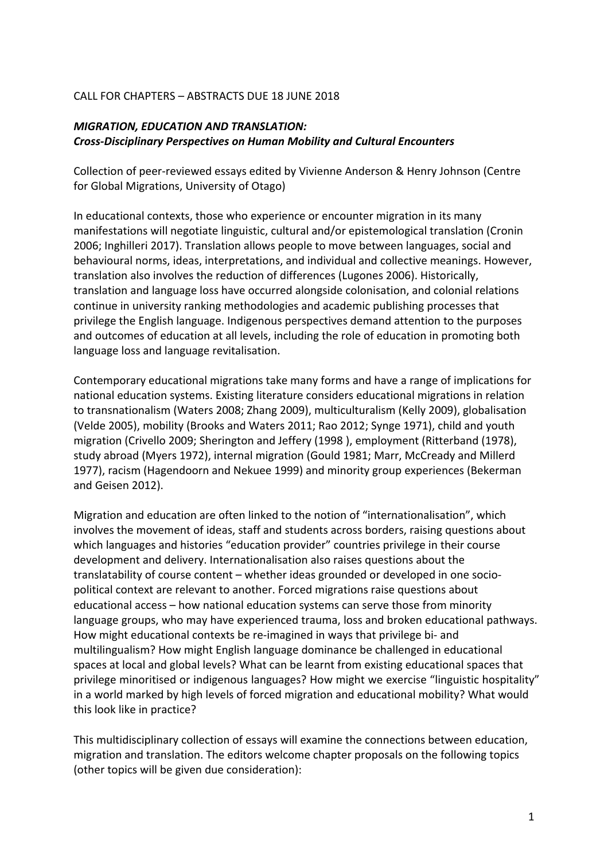## CALL FOR CHAPTERS - ABSTRACTS DUE 18 JUNE 2018

## **MIGRATION, EDUCATION AND TRANSLATION:** *Cross-Disciplinary Perspectives on Human Mobility and Cultural Encounters*

Collection of peer-reviewed essays edited by Vivienne Anderson & Henry Johnson (Centre for Global Migrations, University of Otago)

In educational contexts, those who experience or encounter migration in its many manifestations will negotiate linguistic, cultural and/or epistemological translation (Cronin 2006; Inghilleri 2017). Translation allows people to move between languages, social and behavioural norms, ideas, interpretations, and individual and collective meanings. However, translation also involves the reduction of differences (Lugones 2006). Historically, translation and language loss have occurred alongside colonisation, and colonial relations continue in university ranking methodologies and academic publishing processes that privilege the English language. Indigenous perspectives demand attention to the purposes and outcomes of education at all levels, including the role of education in promoting both language loss and language revitalisation.

Contemporary educational migrations take many forms and have a range of implications for national education systems. Existing literature considers educational migrations in relation to transnationalism (Waters 2008; Zhang 2009), multiculturalism (Kelly 2009), globalisation (Velde 2005), mobility (Brooks and Waters 2011; Rao 2012; Synge 1971), child and youth migration (Crivello 2009; Sherington and Jeffery (1998), employment (Ritterband (1978), study abroad (Myers 1972), internal migration (Gould 1981; Marr, McCready and Millerd 1977), racism (Hagendoorn and Nekuee 1999) and minority group experiences (Bekerman and Geisen 2012).

Migration and education are often linked to the notion of "internationalisation", which involves the movement of ideas, staff and students across borders, raising questions about which languages and histories "education provider" countries privilege in their course development and delivery. Internationalisation also raises questions about the translatability of course content – whether ideas grounded or developed in one sociopolitical context are relevant to another. Forced migrations raise questions about educational access – how national education systems can serve those from minority language groups, who may have experienced trauma, loss and broken educational pathways. How might educational contexts be re-imagined in ways that privilege bi- and multilingualism? How might English language dominance be challenged in educational spaces at local and global levels? What can be learnt from existing educational spaces that privilege minoritised or indigenous languages? How might we exercise "linguistic hospitality" in a world marked by high levels of forced migration and educational mobility? What would this look like in practice?

This multidisciplinary collection of essays will examine the connections between education, migration and translation. The editors welcome chapter proposals on the following topics (other topics will be given due consideration):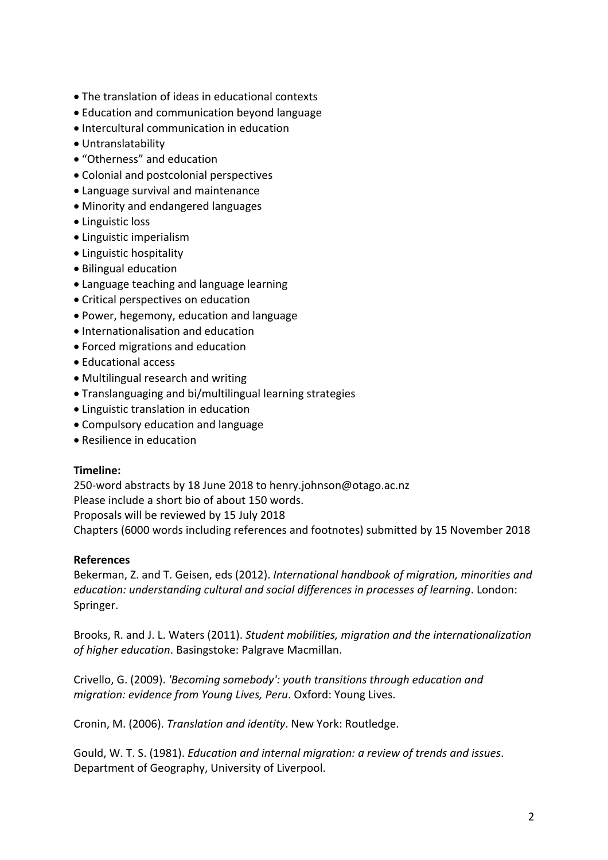- The translation of ideas in educational contexts
- Education and communication beyond language
- Intercultural communication in education
- Untranslatability
- "Otherness" and education
- Colonial and postcolonial perspectives
- Language survival and maintenance
- Minority and endangered languages
- Linguistic loss
- Linguistic imperialism
- Linguistic hospitality
- Bilingual education
- Language teaching and language learning
- Critical perspectives on education
- Power, hegemony, education and language
- Internationalisation and education
- Forced migrations and education
- Educational access
- Multilingual research and writing
- Translanguaging and bi/multilingual learning strategies
- Linguistic translation in education
- Compulsory education and language
- Resilience in education

## **Timeline:**

250-word abstracts by 18 June 2018 to henry.johnson@otago.ac.nz Please include a short bio of about 150 words. Proposals will be reviewed by 15 July 2018 Chapters (6000 words including references and footnotes) submitted by 15 November 2018

## **References**

Bekerman, Z. and T. Geisen, eds (2012). *International handbook of migration, minorities and education: understanding cultural and social differences in processes of learning.* London: Springer.

Brooks, R. and J. L. Waters (2011). *Student mobilities, migration and the internationalization* of higher education. Basingstoke: Palgrave Macmillan.

Crivello, G. (2009). *'Becoming somebody':* youth transitions through education and *migration: evidence from Young Lives, Peru.* Oxford: Young Lives.

Cronin, M. (2006). *Translation and identity*. New York: Routledge.

Gould, W. T. S. (1981). *Education and internal migration: a review of trends and issues.* Department of Geography, University of Liverpool.